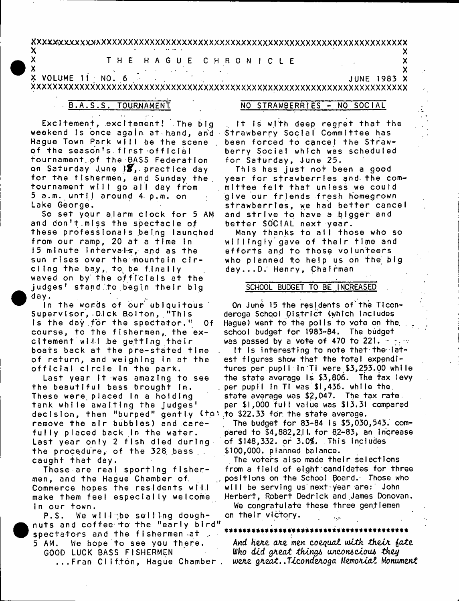### $\boldsymbol{\mathsf{x}}$

# THE HAGUE CHRONICLE

X X VOLUME 11 NO. 6 **JUNE 1983 X** 

# B.A.S.S. TOURNAMENT

X

Excitement, excitement! The big weekend is once again at hand, and Hague Town Park will be the scene of the season's first official fournament of the BASS Federation on Saturday June 18, practice day for the fishermen, and Sunday the tournament will go all day from 5 a.m. until around 4 p.m. on Lake George.

So set your alarm clock for 5 AM and don't miss the spectacle of these professionals being launched from our ramp, 20 at a time in 15 minute intervals, and as the sun rises over the mountain circling the bay, to be finally waved on by the officials at the judges' stand to begin their big day.

In the words of our ublquitous Supervisor, Dick Bolton, "This is the day for the spectator." — Of course, to the fishermen, the excitement will be getting their boats back at the pre-stated time of return, and weighing in at the official circle in the park.

Last year it was amazing to see the beautiful bass brought in. These were placed In a holding tank while awaiting the judges' decision, then "burped" gently (to) to \$22.33 for the state average. remove the air bubbles) and carefully placed back in the water. Last year only 2 fish died during. the procedure, of the 328 bass. caught that day.

These are real sporting fishermen, and the Hague Chamber of. Commerce hopes the residents will make them feel especially welcome in our town.

We will the selling dough-P.S. nuts and coffee to the "early bird" spectators and the fishermen at . 5 AM. We hope to see you there. GOOD LUCK BASS FISHERMEN  $\ldots$ Fran Clifton, Hague Chamber .

#### NO STRAWBERRIES - NO SOCIAL

X

 $\overline{\mathbf{x}}$ 

 $\boldsymbol{\mathsf{X}}$ 

the is with deep regret that the Strawberry Social Committee has been forced to cancel the Strawberry Social which was scheduled for Saturday, June 25.

This has just not been a good year for strawberries and the committee felt that unless we could give our friends fresh homegrown strawberries, we had better cancel and strive to have a bigger and better SOCIAL next year.

Many thanks to all those who so willingly gave of their time and efforts and to those volunteers who planned to help us on the big day...D. Henry, Chairman

## SCHOOL BUDGET TO BE INCREASED

On June 15 the residents of the Ticonderoga School District (which includes Haque) went to the polls to vote on the school budget for 1983-84. The budget was passed by a vote of 470 to 221.  $\frac{1}{2}$ ,  $\frac{1}{2}$ It is interesting to note that the latest figures show that the total expenditures per pupil in Ti were \$3,253.00 while the state average is \$3,806. The tax levy per pupil in TI was \$1,436. while the state average was \$2,047. The tax rate. per \$1,000 full value was \$13.31 compared

The budget for 83-84 is \$5,030,543. compared to  $$4,882,2$  I. for  $82-83$ , an increase of \$148,332. or 3.0%. This includes \$100,000. planned balance.

The voters also made their selections from a field of eight candidates for three positions on the School Board. Those who will be serving us next year are: John Herbert, Robert Dedrick and James Donovan. We congratulate these three gentlemen on their victory.  $\ddotsc$ 

And here are men coequal with their fate Who did great things unconscious they were great..Ticonderoga Memorial Monument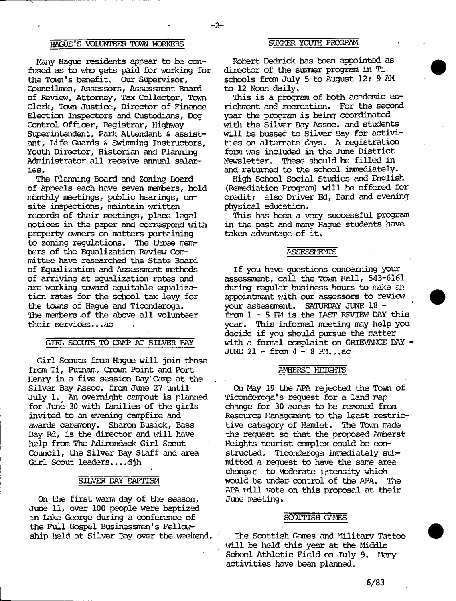# HAGUE'S VOLUNTEER TOWN WORKERS OT SUMMER YOUTH PROGRAM

Many Haque residents appear to be confused as to who gets paid for working for the Town's benefit. Our Supervisor, Councilmen, Assessors, Assessment Board of Review, Attorney, Tax Collector, Town Clerk, Tam Justice, Director of Finance Election Inspectors and Custodians, Dog Control Officer, Registrar, Highway Superintendent, Park Attendant & assistant, Life Guards & Swimming Instructors, Youth Director, Historian and Planning Administrator all receive annual salaries.

The Planning Board and Zoning Board of Appeals each have seven mentoers, hold monthly meetings, public hearings, onsite inspections, maintain written records of their meetings, place legal notices in the paper and correspond with property owners on matters pertaining to zoning regulations. The three members of the Equalization Review Committee have researched the State Board of Equalization and Assessment methods of arriving at equalization rates and are working toward equitable equalization rates for the school tax levy for the tarns of Hague and Ticonderoga. The members of the above all volunteer their services...ac

### GIRL SCOUTS TO CAMP AT SILVER PAY

Girl Scouts from Hague will join those from Ti, Putnam, Crown Point and Port Henry in a five session Day: Camp at the Silver Bay Assoc, from June 27 until July 1. An overnight campout is planned for June 30 with families of the girls invited to an evening campfire and awards ceremony. Sharon Busick, Bass Bay Rd, is the director and will have help from The Adirondack Girl Scout Council, the Silver Bay Staff and area Girl Scout leaders....djh

#### SILVER BAY BAPTISM

On the first warm day of the season, June 11, over 100 people were baptized in Lake George during a conference of the Full Gospel Businessmen's Fella/ ship lield at Silver Bay over the weekend.

Robert Dedrick has l^een appointed as director of the surmer program in Ti schools from July 5 to August 12; 9 AM to' 12 Noon daily.

This is a program of both academic enrichment and recreation. For the second year the program is being coordinated with the Silver Bay Assoc, and students will be bussed to Silver Bay for activities on alternate days. A registration form was included in the June District Newsletter. These should be filled in and returned to the school inmediately.

High School Social Studies and English (Remediation Program) will be offered for credit; also Driver Ed, Band and evening physical education.

This has been a very successful program in the past and many Hague students have taken advantage of it.

#### **ASSESSMENTS**

If you have questions concerning your assessment, call the Town Hall, 543-6161 during regular business hours to make an appointment with our assessors to review your assessment. SATURDAY JUNE 18 from 1 - 5 FM is the LAST REVIEW DAY this year. This informal meeting may help you decide if you should pursue the matter with a formal complaint on GRIEVANCE DAY - JUNE  $21 - from 4 - 8 PM...ac$ 

### AMHERST HEIGHTS

On May 19 the APA rejected the Town of Ticonderoga's request for a land rap change for 30 acres to be rezoned from Resource Management to the least restrictive category of Hamlet. The Town made the request so that the proposed Amherst Heights tourist complex could be constructed. Ticonderoga immediately submitted a request to have the same area changed . to Moderate intensity which would be under control of the APA. The APA vill vote on this proposal at their June meeting.

### SCOTTISH GAMES

The Scottish Games and Military Tattoo will be held this year at the Middle School Athletic Field on July 9. Many activities have been planned.

6/83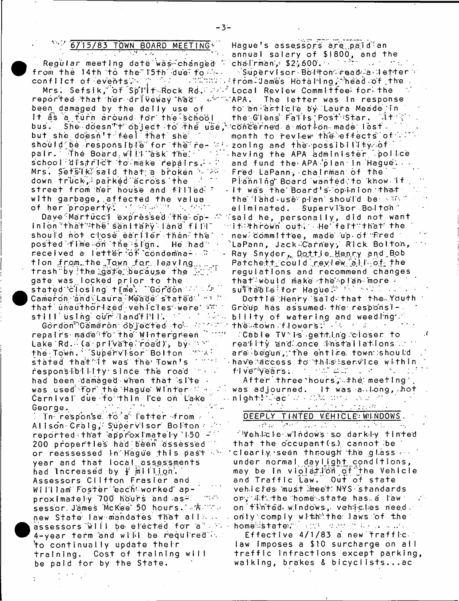## 6/15/83 TOWN BOARD MEETING

i a shekara

Regular meeting date was changed "

Mrs: Sefsik, of Spill-Rock Rd. "M." Local Review Commitfee for the reported that her driveway had with APA. been damaged by the dally use of It as a furn around for the school She doesn'''t object to the use, bus. but she doesn't feel that she fill pair. The Board will ask the school district to make repairs. Mrs. Sefsik said that a broken with down truck, parked across the additional street from her house and filled. with garbage, affected the value of her property! If what is were

Dave Martucci expressed the op- 2 inion that the sanitary land fill" should not close earlier than the posted fime on the sign. He had received a letter of condemna- ≎ tion from the Town for leaving trash by the gate because the FLT gate was locked prior to the<br>stated closing time. "Gordon and Sr Cameron and Laura Meade stated with that unauthorized vehicles were we still using our landf PH . It is a keep

Gordon Gameron objected to which repairs made to the Wintergreen Time Lake Rd. (a private road), by av the Town." Supervisor Bolton 2004: stated that it was the Town's into responsibility since the road for had been damaged when that slie. was used for the Hague Winter the Carnival due fo thin ice on Lake  $\label{eq:2} \mathcal{L}^{\mathcal{A}}(\mathcal{A},\mathcal{A})=\mathcal{L}^{\mathcal{A}}(\mathcal{A},\mathcal{A})=\mathcal{L}^{\mathcal{A}}(\mathcal{A},\mathcal{A})$ **Contractor** George.

Thersponse fora fetter from Alison Craig, Supervisor Bolton reported that approximately 150 -200 properties had been assessed or reassessed in Hague this past in year and that local assessments had Increased by F million. Assessors Clifton Frasier and William Foster each worked ap-, a mata proximately 700 hours and as≅ sessor James McKee 50 hours. A The new State law mandates that all ... assessors will be elected for a way 4-year term and will be required in 'to continually update their training. Cost of training will be paid for by the State.

Hague's assessors are paid an annual salary of \$1800, and the<br>chalrman, \$2,600.  $\sim 10^{11}$  and  $\sim 10^{11}$ ™Supervisor Bolston©read a letter ∵ The letter was in response to an article by Laura Meade in the Glens Falls Post Star. At 20 ` cóncerned a motion made last. month to review the effects of zoning and the possibility of having the APA administer spolice and fund the APA plan in Hague. Fred LaPann, chairman of the Planning Board wanted to know if - it was the Board's opinion that the fand-use plan should be war eliminated. Supervisor Bolton"  $\%$ said he, personally, did not want ∵if:hrown out: He felt:that the new committee, made up of Fred `LaPann, Jack≂Carney, Rick Bol†on, i Ray Snyder, Dottje Henry and Bob  ${\sf P}$ atche $\tau_1$ could review all of the regulations and recommend changes that would make the splan more -

sulltable for Hague Market and a series Dottle Henry said that the Youth Group has assumed the responsibility of watering and weeding. the otown affowers? The season of the

∶Cable TV is getting closer to reality and once installations in are begun, the entire town should have access to this service within fillverfyears; the main war in the main to

After three hours, the meeting was adjourned. It was allong, hot night: Machus Machus Court

# DEEPLY TINTED VEHICLE WINDOWS.

and a contract of the contract of the contract of the contract of the contract of the contract of the contract<br>The contract of the contract of the contract of the contract of the contract of the contract of the contract of 'Vehicle windows so darkly finted that the occupant (s) cannot be clearly seen through the glass ... under normal daylight conditions, may be in violation of the Vehicle and Traffic Law. Out of state vehicles must meet NYS standards ory Wfuthe home state has a law. on finted windows, vehicles need only comply with the laws of the homewstate." with and the communication

Effective 4/1/83 a new traffic law imposes a \$10 surcharge on all traffic infractions except parking, waiking, brakes & bicyclists...ac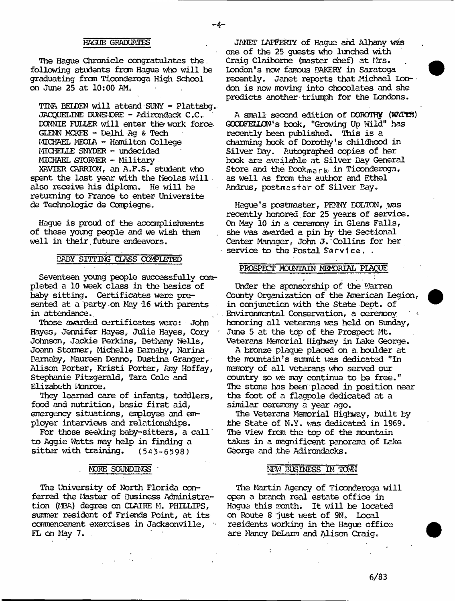### HAGUE GRADUATES

- 4-

The Hague Chronicle congratulates the. following students fran Hague Who will be graduating from Ticonderoga High School on June 25 at 10:00 AM.

TINA EEEDEN will attend SUNY - Plattsbg. JACQUELINE DUNSIORE - Adirondack C.C. DONNIE FULLER will enter the work force GLENN MCKEE - Delhi Ag & Tech MICHAEL MEQLA - Hamilton College MICHELLE SNYDER - undecided MICHAEL STOKMER » Military

XAVIER CARRION, an A.F.S. student who spent the last year with the Meolas will. also receive his diploma. He will be returning to France to enter Universite de Technologic de Compiegne.

Hague is proud of the aocanplishmants of these young people and we wish them well in their future endeavors.

### BABY SITTING CLASS COMPLETED

Seventeen young people successfully completed a 10 week class in the basics of baby sitting. Certificates were presented at a party-on May 16 with parents in attendance..

Those awarded certificates were: John Hayes, Jennifer Hayes, Julie Hayes, Cory Johnson, Jackie Perkins, Eetbany Wells, Joann Stormer, Michelle Bamaby, Narina Bamaby, Maureen Denno, Dustina Granger,-' Alison Porter, Kristi Porter, Amy Hoffay, Stephanie Fitzgerald, Tara Cole and Elizabeth Monroe.

They learned care of infants, toddlers, food and nutrition, basic first aid, emergency situations, employee and employer interviews and relationships.

For those seeking baby-sitters, a call' to Aggie Watts may help in finding a sitter with training. (543-6598)

#### MORE SOUNDINGS

The University of North Florida conferred the Master of Business Administration (MBA) degree on CLAIRE M. PHILLIPS, sumner resident of Friends Point, at its commencement exercises in Jacksonville, FL on May 7.

JANET IAFFE&TY of Hague and Albany was one of the 25 guests who lunched with Craig Claiborne (master chef) at Mrs. London\*s now famous BAKERY in Saratoga recently. Janet reports that Michael London is now moving into chocolates and she predicts another triumph for the Londons.

A small second edition of DOROTHY (WATTS) GGGDFELLON's book, "Growing Up Wild" has recently been published. This is a charming book of Dorothy's childhood in Silver Bay. Autographed copies of her book are available at Silver Bay General Store and the Eook<sub>mark</sub> in Ticonderoga, as well as from the author and Ethel Andrus, postmaster of Silver Bay.

Hague's postmaster, PENNY BOLTON, was recently honored, for 25 years of service. On May 10 in a ceremony in Glens Falls, she was awarded a pin by the Sectional Center Manager, John J.;Collins for her service to the Postal Service.,

### PROSPECT MOUNTAIN MEMORIAL PLAQUE

Under the sponsorship of the Warren County Organization of the American Legion, in conjunction with the State Dept, of Environmental Conservation, a ceremony honoring all veterans was held on Sunday, June 5 at the top of the Prospect Mt. Veterans Memorial Highway in Lake George.

A bronze plaque placed on a boulder at the mountain's summit was dedicated "In memory of all veterans who served our country so we may continue to be free." The stone has been placed in position near the foot of a flagpole dedicated at a similar ceremony a year ago.

The Veterans Manorial Highway, built by the State of N.Y. was dedicated in 1969. The view from the top of the mountain takes in a magnificent panorama of Lake George and the Adirondacks.

#### NEW BUSINESS IN TOWN

The Martin Agency of Ticonderoga will open a branch real estate office in Hague this month. It will be located on Route 8 'just west of 9N. Local residents working in the Hague office are Nancy DeLarm and Alison Craig.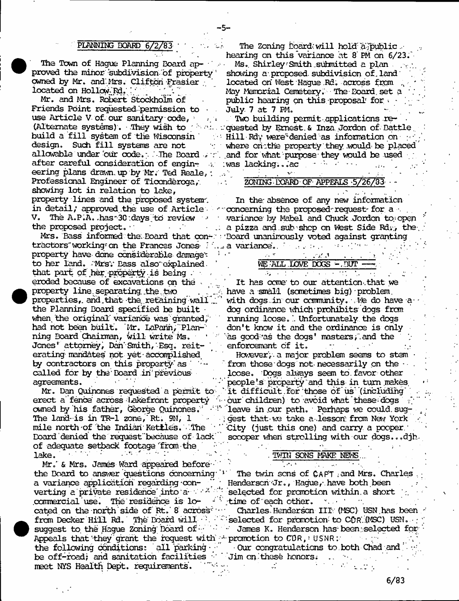- 5-

proved the minor subdivision of property' showing a proposed subdivision of land<br>owned by Mr. and Mrs. Clifton Frasier located on West Haque Rd. across from owned by Mr. and Mrs. Clifton Frasier located on West Hague .Rd; across from<br>located on Hollow Rd; located on Way Memorial Cemetery. The Poard set

Friends Point requested permission to  $\qquad$  July 7 at 7 PM.<br>use Article V of our sanitary code, use Article V of our sanitary code, 1  $\ldots$  . Two building permit applications re-<br>(Alternate systems), They wish to 12 a.C. conested by Ernest & Inza Jordon of Dat after careful consideration of engin-  $v$  : was lacking...ac . . . . . eering plans drawn. up by Mr. Ted Reale,: Professional Engineer of Ticonderoga,  $\overline{ZONING-DOARD}$  OF- APPEALS -5/26/33showing lot in relation to lake, property lines and the proposed system. In the absence of any new information in detail; approved the use of Article in concerning the proposed request for a •.<br>V. The A.P.A. has 30 days to review in the variance by Mabel and Chuck Jordon to o

tractors"workingrcn the Frances Jones- a variance.. ' .. :• .. \* ■ ■ . . property have done considerable dnmgev- = •' . . . ; r 1 to her land. Mrs. Bass also explained. that part of her property is being  $\cdots$  .  $\qquad \qquad \qquad$ eroded because of excavations on the \* . ... ' It has ccme' to our attention-.that we **•** property line separating the two . . . have a small (sometimes big) problem, the Planning Board specified be built dog ordinance which-prohibits dogs frcm when the original variance was granted, the muning loose. Which under the dogs had not been built. Mr. LaPann, Plan- the don't know it and the ordinance is only had not been built. 'Mr. LaPann, 'Plan-'------ don't know it and the ordinance is only ning Board Chairman, will write Ms. Jones' attorney, Dan-Smith, Esq. reit- enforcement of it. erating mandates not yet accomplished ' ' ' However', a major problem seems to stem called for by the Board in previous loose. Dogs always seem to favor other

erect a fence' across - Iakefront property ' - our children) to avoid what these dogs Board' denied the request 'because of lack' sccoper when strolling with our dogs... djh of adequate setback footage from the .<br>lake Lake. ■ ' ' : ""' \*. ' . TWIN SONS MAKE NEWS... ;

 $Mr.$  & Mrs. James Ward appeared before  $\cdot$ the Board to answer questions concerning<sup>-1</sup> The twin sons of CAPT .and Mrs. Charles a variance application regarding  $\text{con-}$   $\quad$  - Henderson Jr., Hague, have both been verting a private residence into  $a \mapsto^{\mathcal{X}}$  selected for promotion within a short commercial use. The residence is  $l$ o- v time of each other. **•** Appeals that they' grant the request with  $\sim$  promotion to CDR, and  $\sim$  the following conditions: all parking  $\sim$  0 compratulations to both Chad and the following conditions: all parking  $\cdot$  0ur congratulation<br>be off-road; and sanitation facilities  $\cdot$  Jim on these honors. be off-road; and sanitation facilities and on-these honors; the meet NYS Health Dept. requirements;  $\frac{1}{2}$ meet NYS Health Dept, requirements.

PLANNING BOARD  $6/2/83$  . The Zoning Board will hold a public. the aring on this variance at 8 PM on 6/23.<br>The Town of Haque Planning Board ap-Ms. Shirley: Smith submitted a plan

Ms. Shirley-Smith submitted a plan. located on Hollow Rd... ' ' ' " " May Memorial Cemetery. The Board set a<br>Mr. and Mrs. Robert Stockholm of public hearing on this proposal for . . public hearing on this proposal' for .

(Alternate systems) . • .They wish to ; a:. oquested by Ernest. & Inza Jordon of - Battle, build a fill system of the Wisconsin ' Hill Rdy were'denied as information on the design. Such fill systems are not design. Such fill systems are not they where onthe property they would be placed<br>allowable under our code. The Board are and for what purpose they would be used and for what purpose they would be used

V. The A.P.A. has 30 days to review the variance by Mabel and Chuck Jordon to open<br>the proposed project. the proposed project. \*<br>Mrs. Bass informed the Board that con-webcard unanimously voted against granting 'Board unanimously voted against granting

properties, and that the retaining wall  $\mathbb{C}^n$  with dogs in our community. We do have aas good as the dogs' masters, and the

by contractors on this property as  $\cdots$  from those dogs not necessarily on the agreements.<br>Mr. Dan Quinones requested a permit to `it difficult for those of us'(including it difficult for those of us (including . owned by his father, George Quinones.<sup>: • 4</sup> "leave in our path. Perhaps we could sug-The land- is in TR-1 zone, Rt. 9N,  $1 \rightarrow$  gest that we take a lesson; from New York mile north of the Indian Kettles. The ' City (just this one) and carry a pcoper.'

**Committee** 

cated on the north side of Rt. 8 across  $\cdots$  Charles. Henderson III (MSC) USN has been from Decker Hill Rd. The Board will  $\cdot$  .  $\cdot$  selected for promotion to CDR (MSC) USM. suggest to the Hague Zoning Board of: : : : James K. Henderson has been selected for 18 July 19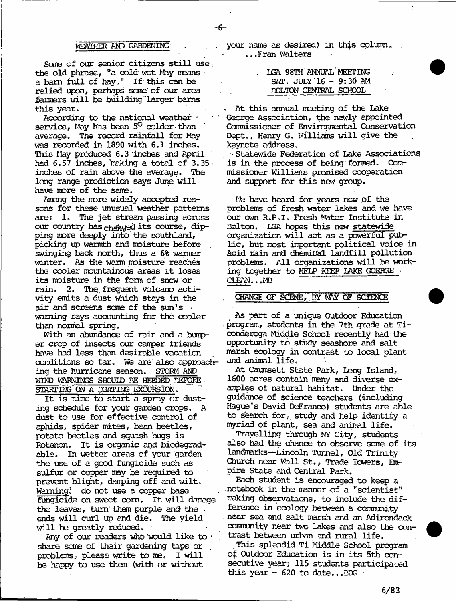#### WEATHER AND GARDENING'

Sans of our senior citizens still use: the old phrase, "a oold wet May means a bam full of hay." If this can be relied upon, perhaps sane' of our area fanners will be building larger barns this year.

According to the national weather **1** service, May has been 5<sup>0</sup> colder than average. The record rainfall for May was recorded in 1890 with 6.1 inches. This May produced 6.3 inches and April had 6.57 inches, making a total of 3.35 inches of rain above the average. The long range prediction says.June will have more of the same.

Among the more widely accepted reasons for these unusual weather patterns are: 1. The jet stream passing across our country has changed its course, dipping more deeply into the southland, picking up warmth and moisture before swinging back north, thus a 6% wanner winter. As tlie warm moisture reaches the cooler mountainous areas it loses its moisture in the form of sncw or rain. 2. The. frequent volcano activity emits a dust which stays in the air and screens some of the sun's warming rays accounting for the cooler than normal spring.

With an abundance of rain and a bumper crop of insects our camper friends have had less than desirable vacation conditions so far. We are also approaching the hurricane season. STORM AND WIND WARNINGS SHOUID BE HEEDED DEFORE STARTING ON A DQATING EXCURSION.

It is time to start a spray or dusting schedule for your garden crops. A dust to use for effective control of aphids, spider mites, bean beetles, potato beetles and squash bugs is Rotenon. It is organic and biodegradable. In wetter areas of your garden the use of a good fungicide such as sulfur or copper may be required to prevent blight, damping off and wilt. Warning! do not use a copper base fungicide on sweet com. It will damage the leaves, turn' then purple and the ends will curl up and die. The yield will be greatly reduced.

Any of our readers who would like to  $\cdot$ share sane of their gardening tips or problems, please write to me. I will be happy to use them (with or without

your name as desired) in this column.. .. .Fran Walters

- 6-

, LGA. 93TH ANNUAL MEETING SAT. JULY 16 - 9;30 AM DOLTON CENTRAL SCHOOL

. At this annual meeting of the Lake George Association, the newly appointed Commissioner of Environmental Conservation Dept., Henry G. Williams will give the keynote address.

■■ Statewide Federation of Lake Associations is in the process of being' formed. Commissioner Williams promised cooperation and support for this new group.

We have heard for years now of the problems of fresh water lakes and we have our own R.P.I. Fresh Water Institute in Dolton. LGA hopes this new statewide organization will act as a powerful public, but most important political voice in Acid rain and chemical landfill pollution problems. All organizations will be working together to HELP KEEP LAKE GOERGE - CLEAN.. .MD

## CHANGE OF SCENE, BY WAY OF SCIENCE

As part of a unique Outdoor Education , program, students in the **7**th grade at Ticonderoga Middle School recently had the opportunity to study seashore and salt marsh ecology in contrast to local plant and animal life.

At Caumsett State Park, Long Island, 1600 acres contain many and diverse examples of natural habitat. Under the guidance of science teachers (including Hague's David DeFranco) students are able to search for, study and help identify a myriad of plant, sea and animal life.

Travelling., through NY City, students also had the chance to observe some of its landmarks— Lincoln Tunnel, Old Trinity Church near Wall St., Trade Towers, Empire State and Central Park.

Each student is encouraged to keep a notebook in the manner of a ''scientist" making observations, to include the difference in ecology between a cormiunity near sea and salt marsh and an Adirondack carmunity near two lakes and also the contrast between urban and rural life.

. This splendid Ti Middle School program of Outdoor Education is in its 5th consecutive year; 115 students participated this year - 620 to date...DDG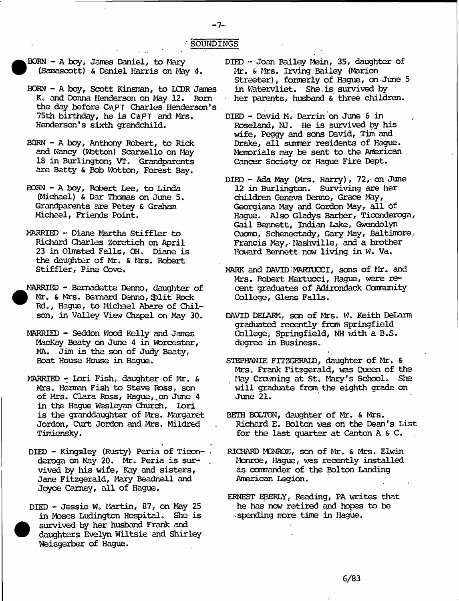### ■ SOUNDINGS

- 7<sup>~</sup>

- **•** BORN - A boy, James Daniel, to Mary (Samasoott) & Daniel Harris on May 4.
	- BORN A boy, Scott Kinsman, to LCDR James K. and Donna Henderson on May 12. Bom the day before CAPT Charles Henderson's 75th birthday, he is CAPT and Mrs. Henderson's sixth grandchild.
	- BORN A boy, Anthony Robert, to Rick and Nancy (Wbttcn) Scarzello on May 18 in Burlington; VT. Grandparents are Betty & Bob Wotton, Forest Bay.
	- BORN A boy, Robert Lee, to Linda (Michael) & Dar Thomas on June 5. Grandparents are Petey & Graham Michael, Friends Point.
	- MARRIED Diane Martha Stiffler to Richard Charles Zoretich on April 23 in Olmsted Falls, OH. Diane is the daughter of Mr. & Mrs. Robert Stiffler, Pine Cove.
- **•** MARRIED - Bernadette Denno, daughter of Mr. & Mrs. Bernard Denno, Split Rock Rd., Hague, to Michael Abare of Chilson, in Valley View Chapel on May 30.
	- MARRIED Seddon Wood Kelly and James MacKay Beaty on June 4 in Worcester, MA. Jim is the son of Judy Beaty, Boat House House in Hague.
	- MARRIED Lori Fish, daughter of Mr. & Mrs. Herman Fish to Steve Ross, son of Mrs. Clara Ross, Hague,,on June 4 in the Hague Wesleyan Church. Lori is the granddaughter of Mrs. Margaret Jordon, Curt Jordon and Mrs. Mildred Timiensky.
	- DIED Kingsley (Rusty) Peria of Ticonderoga on May 20. Mr. Peria is survived by his wife, Kay and sisters, Jane Fitzgerald, Mary Beadnell and Joyce Carney, all of Hague.
- DIED Jessie W. Martin, 87, on May 25 in Moses Ludington Hospital. She is **•** survived by her husband Frank and daughters Evelyn Wiltsie and Shirley Weisgerber of Hague.
- DIED Joan Bailey Mein, 35, daughter of Mr. & Mrs. Irving Bailey (Marion Streeter), formerly of Hague, on-June 5 in Watervliet. She. is survived by • her parents, husband & three children.
- DIED David M. Darrin on June 6 in Roseland, NJ. He is survived by his wife, Peggy, and sons David, Tim and Drake, all summer residents of Hague. Memorials nay be sent to . the American Cancer Society or Hague Fire Dept.
- $DIED Ada May (Mrs. Harry)$ , 72, on June 12 in Burlington. Surviving are her children Geneva Denno, Grace May, Georgiana May and Gordon May, all of Hague. Also Gladys Barber, Ticonderoga, Gail Bennett, Indian Lake, Gwendolyn Cuomo, Schenectady, Gary May, Baltimore, Francis May,\* Nashville, and a brother Howard Bennett new living in W. Va.
- MARK and DAVID MARTUGCI, sons of Mr. and Mrs. Robert Martuoci, Hague, were recent graduates of Adirondack Community College, Glens Falls.
- DAVID DEEABM, son of Mrs. W. Keith DeLarm graduated recently from Springfield College, Springfield, NH with a B.S. degree in Business.
- STEPHANIE FITZGERALD, daughter of Mr. & Mrs. Frank Fitzgerald, was Queen of the May Crowning at St. Mary's School. She will graduate from the eighth grade on June 21.
- BETH BOLTON, daughter of Mr. & Mrs. Richard E. Bolton was on the Dean's List for the last quarter at Canton A & C.
- RICHARD MONROE, son of Mr. & Mrs. Elwin Monroe, Hague, was recently installed as commander of the Bolton Landing American Legion.
- ERNEST EBERLY, Reading, PA writes that he has now retired and hopes to be • spending more tine in Hague.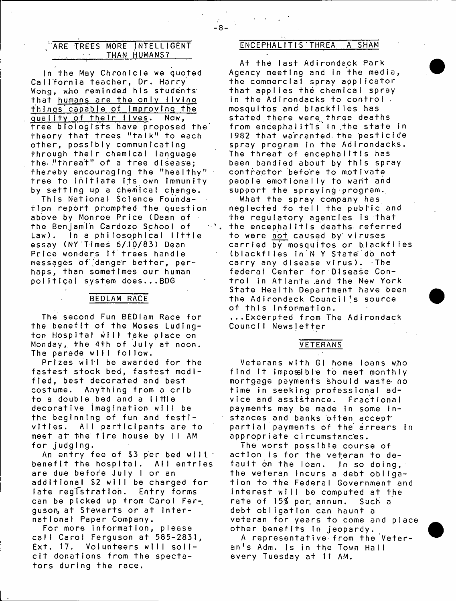## / ARE TREES MORE INTELLIGENT THAN HUMANS?

In the May Chronicle we quoted California teacher, Dr. Harry Wong, w.ho reminded his students' that humans are the only living things capable of improving the quality of their lives. Now, tree biologists have proposed the theory that trees "taIk" to each other, possibly communicating through their chemical language the "threat" of a tree disease; thereby encouraging the "healthy"  $\cdot$ tree to initiate its own immunity by setting up a chemical change.

This National Science Foundation report prompted the question above by Monroe Price (Dean of the Benjamin Cardozo School of Law). In a philosophical little essay (NY Times 6/10/83) Dean Price wonders if trees handle messages of danger better, perhaps, than sometimes our human political system does...BDG

## BEDLAM RACE

The second Fun BEDIam Race for the benefit of the Moses Ludington Hospital will take place on Monday, the 4th of July at noon. The parade will follow.

Prizes will be awarded for the fastest stock bed, fastest modified, best decorated and best costume. Anything from a crib to a double bed and a little decorative imagination will be the beginning of fun and festivities. All participants are to meet at the fire house by II AM for judging.

An entry fee of  $$3$  per bed will. benefit the hospital. All entries are due before July I or an additional \$2 will be charged for late registration. Entry forms can be picked up from Carol Ferguson, at Stewarts or at International Paper Company.

For more information, please call Carol Ferguson at 585-2831, Ext. 17. Volunteers will solicit donations from the spectators during the race.

## ENCEPHALITIS THREA A SHAM

At the last Adirondack Park Agency meeting and in the media, the commercial spray applicator that applies the chemical spray in the Adirondacks to control. mosquitos and blackfiies has stated there were three deaths from encephalitis in the state in 1982 that warranted the pesticide spray program in the Adirondacks. The threat of encephalitis has been bandied about by this spray contractor before to motivate people emotionally to want and support the spraying program.

What the spray company has neglected to tell the publ'ic and the regulatory agencies is that the encephalitis deaths referred to were not caused by viruses carried by mosquitos or blackflies (blackfiies in N Y State do not carry any disease virus). The federal Center for Disease Control in Atlanta and the New York State Health Department have been the Adirondack Council's source of this information. ... Excerpted from The Adirondack

Council Newsjetter

## VETERANS

Veterans with GI home loans who find it impossible to meet monthly mortgage payments should waste no time in seeking professional advice and assistance. Fractional payments may be made in some instances and banks often accept partial payments of the arrears in appropriate circumstances.

The worst possible course of action is for the veteran to default on the loan. In so doing, the veteran incurs a debt obligation to the Federal Government and interest will be computed at the rate of *\ 5 %* per. annum. Such a debt obligation can haunt a veteran for years to come and place other benefits in jeopardy.

A representative from the Veteran's Adm. Is in the Town Hall every Tuesday at 11 AM.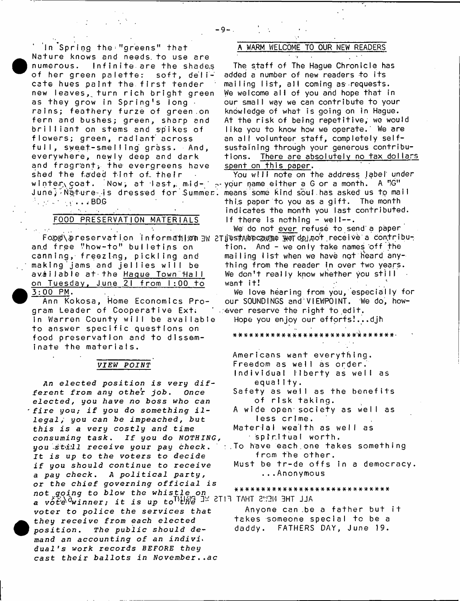In Spring the "greens" that **•** Nature knows and needs to use are numerous. Infinite are the shade,s of her green palette: soft, delicate hues paint the. first tender new leaves, turn rich bright green as they grow in Spring's long  $\cdot$ rains; feathery furze of green on fern and bushes; green, sharp and brilliant on stems and spikes of flowers; green, radiant across full, sweet-smelling grass. And, everywhere, newly deep and dark and fragrant, the evergreens have shed the faded tint of., their winter coat. Now, at last, mid-  $\sim$  your name either a G or a month. A "G" June; Nature is dressed for Summer. means some kind soul has asked us to mail  $\ldots$   $\ldots$   $\ldots$   $\ldots$   $\ldots$   $\ldots$   $\ldots$   $\ldots$   $\ldots$   $\ldots$   $\ldots$   $\ldots$   $\ldots$   $\ldots$   $\ldots$   $\ldots$   $\ldots$   $\ldots$   $\ldots$   $\ldots$   $\ldots$   $\ldots$   $\ldots$   $\ldots$   $\ldots$   $\ldots$   $\ldots$   $\ldots$   $\ldots$   $\ldots$   $\ldots$   $\ldots$   $\ldots$   $\ldots$   $\ldots$   $\ldots$   $\ldots$ 

# FOOD PRESERVATION MATERIALS

 $\gamma$ 

 $\Delta\phi$  and  $\phi$  and  $\phi$ 

 $\mathcal{A}(\mathcal{S})$  and  $\mathcal{A}(\mathcal{S})$  are  $\mathcal{A}(\mathcal{S})$  . In the set of  $\mathcal{S}(\mathcal{S})$ an.d free "how-to" bulletins on canning, freezing, pickling and making jams and jellies will be available at the Haque Town Hall on Tuesday, June 21 from 1:00 to  $3:00$  PM.

Ann Kokosa, Home Economics Program Leader of Cooperative Ext. in Warren County will be available to answer specific questions on food preservation and to disseminate the materials.

## *VIEW POINT*

*An elected position is very dif ferent from any other job, Once e l e c t e d , you have no boss who can 'fire you; if you do something illegal ;* you *can be impeached,* hut *this is a very costly and time consuming task* . *If you do NOTHING*, you .sta/21 *receive your pay check* . Jt is up *to the voters to decide if you should continue to receive a pay c h e c k*. *A political party, or the chief governing official is not going to blow the whistle on* a vote<sup>d</sup>winner; it is up to<sup>TL</sup>UAS IN STIR TAHT SUBM BHT JJA voter to *police the services that • they receive from each elected position*. *The public* should *de*mand an accounting of an indivi<sub>1</sub> *dual's work records BEFORE* they *cast their ballots in November,,ac*

## WARM WELCOME TO OUR NEW READERS

The staff of The Hague Chronicle has added a number of new readers to its mailing list, all coming as requests. We welcome all of you and hope that in our small way we can contribute to your knowledge of what is going on in Hague. At the risk of being repetitive, we would like you to know how we operate. We are an all volunteer staff, completely selfsustaining through your generous contributions. There are absolutely no tax dollars spent on this paper.

*\** .

You will note on the address label under this paper to you as a gift. The month indicates the month you last contributed. If there is nothing  $-$  well- $-$ .

Food\preservation information Bw 2Ty\stAbecause werdolnot receive a contribu-We do not ever refuse to send a paper tion. And - we only take names off the mailing list when we have not heard anything from the reader in over two years. We don't really know whether you still want it! . The set of  $\mathcal{L}^{\mathcal{L}}$  is the set of  $\mathcal{L}^{\mathcal{L}}$ 

> We love hearing from you, especially for our SOUNDINGS and'VIEWPOINT. We do, how-  $\alpha$  ever reserve the right to edit.

Hope you enjoy our efforts!...djh

#### \*\*\*####\*###\*#\*######\*# #■###\*##\*■

- Americans want everything.
- Freedom as well as order.
- Individual liberty as well as equal 11y.
- Safety as well as the benefits of risk taking.
- A wide open society as well as less crime.
- Material wealth as well as spiritual worth.
- $\pm$ . To have each one takes something from the other.
	- Must be tr-de offs in a democracy. . . . Anonymous

\*#\*#\*\*#\*\*#\*##\*\*\*\*\*\*\*\*\*\*\*\*\*\*\*\*

Anyone can be a father but it takes someone special to be a daddy. FATHERS DAY, June 19.